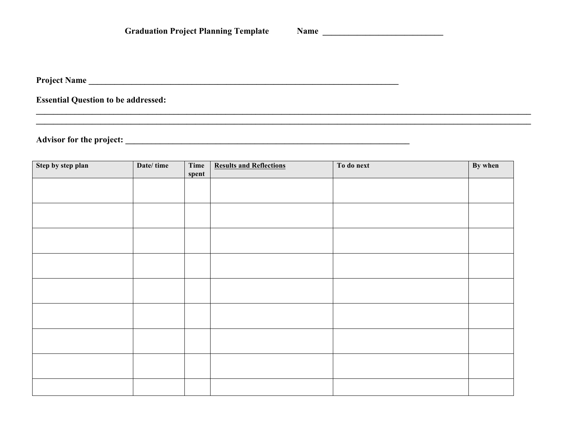<u> 1989 - Andrea San Andrea San Andrea San Andrea San Andrea San Andrea San Andrea San Andrea San Andrea San An</u>

,我们也不会有什么。""我们的人,我们也不会有什么?""我们的人,我们也不会有什么?""我们的人,我们也不会有什么?""我们的人,我们也不会有什么?""我们的人

**Essential Question to be addressed:** 

| Step by step plan | Date/time | Time<br>spent | <b>Results and Reflections</b> | To do next | By when |
|-------------------|-----------|---------------|--------------------------------|------------|---------|
|                   |           |               |                                |            |         |
|                   |           |               |                                |            |         |
|                   |           |               |                                |            |         |
|                   |           |               |                                |            |         |
|                   |           |               |                                |            |         |
|                   |           |               |                                |            |         |
|                   |           |               |                                |            |         |
|                   |           |               |                                |            |         |
|                   |           |               |                                |            |         |
|                   |           |               |                                |            |         |
|                   |           |               |                                |            |         |
|                   |           |               |                                |            |         |
|                   |           |               |                                |            |         |
|                   |           |               |                                |            |         |
|                   |           |               |                                |            |         |
|                   |           |               |                                |            |         |